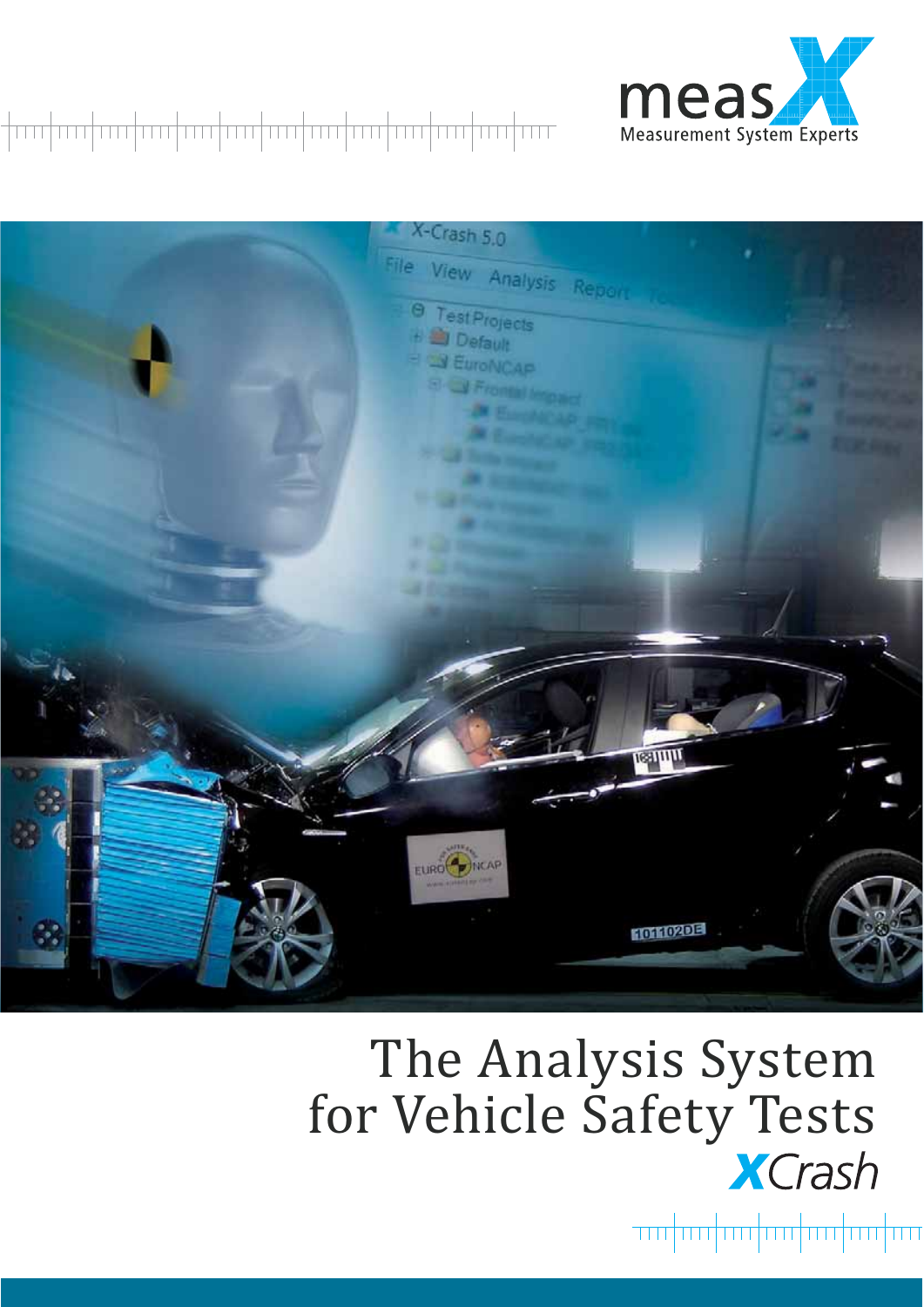

### 



# The Analysis System for Vehicle Safety Tests

<del>wahaduuhaduuhaduu</del>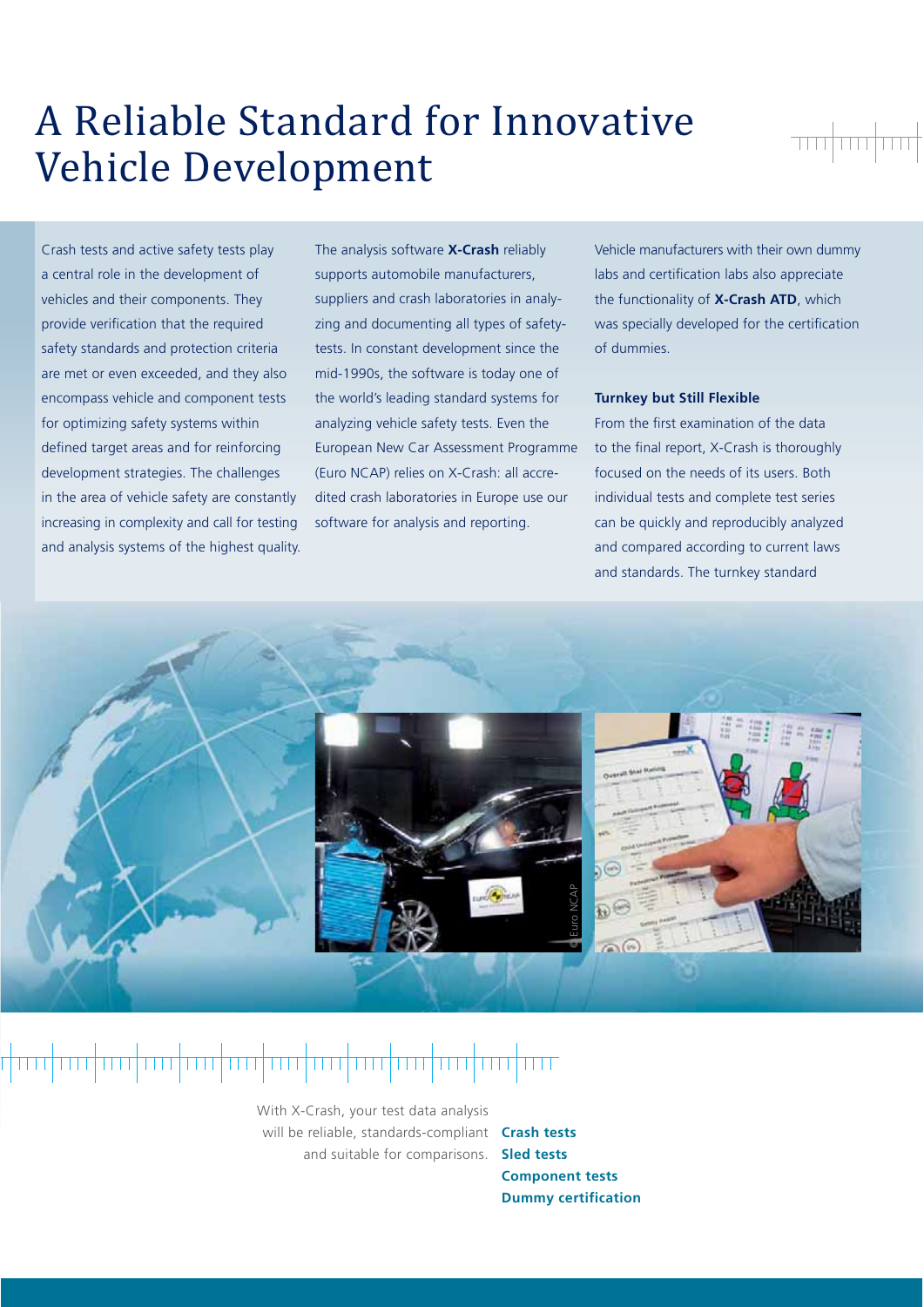### A Reliable Standard for Innovative Vehicle Development

<del>wa kungi wa</del>

Crash tests and active safety tests play a central role in the development of vehicles and their components. They provide verification that the required safety standards and protection criteria are met or even exceeded, and they also encompass vehicle and component tests for optimizing safety systems within defined target areas and for reinforcing development strategies. The challenges in the area of vehicle safety are constantly increasing in complexity and call for testing and analysis systems of the highest quality. The analysis software **X-Crash** reliably supports automobile manufacturers, suppliers and crash laboratories in analyzing and documenting all types of safetytests. In constant development since the mid-1990s, the software is today one of the world's leading standard systems for analyzing vehicle safety tests. Even the European New Car Assessment Programme (Euro NCAP) relies on X-Crash: all accredited crash laboratories in Europe use our software for analysis and reporting.

Vehicle manufacturers with their own dummy labs and certification labs also appreciate the functionality of **X-Crash ATD**, which was specially developed for the certification of dummies.

#### **Turnkey but Still Flexible**

From the first examination of the data to the final report, X-Crash is thoroughly focused on the needs of its users. Both individual tests and complete test series can be quickly and reproducibly analyzed and compared according to current laws and standards. The turnkey standard



### <del>╷┞┰┰┰┠┰┰┰┠┰┰┰╂┰┰┰╂┰┰┰╂┰┰┰╂┰┰┰┠┰┰┰┨┰┰┰╂┰┰┰</del>╂┲┯┱╉┯┯

With X-Crash, your test data analysis will be reliable, standards-compliant and suitable for comparisons.

**Crash tests Sled tests Component tests Dummy certification**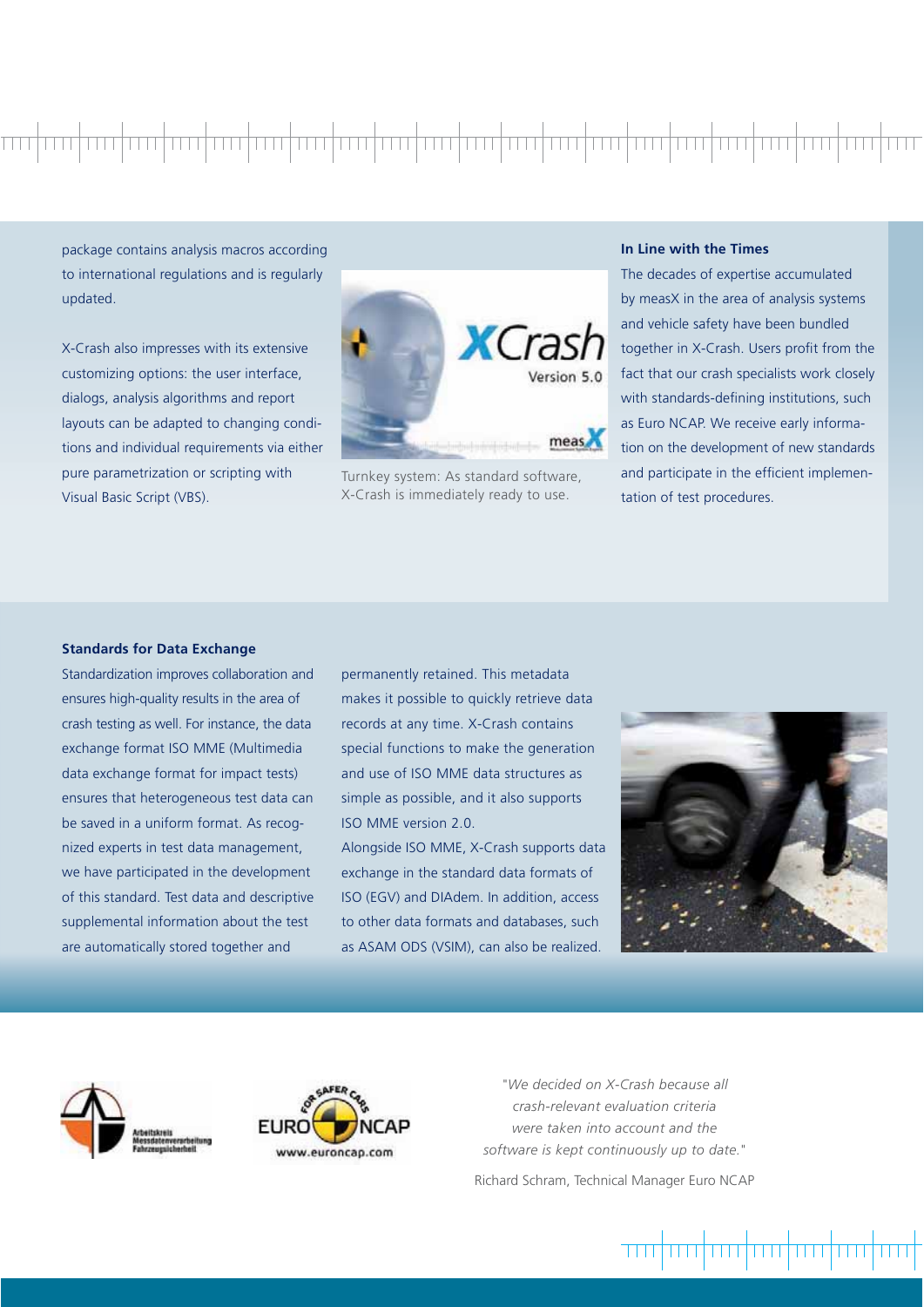## 

package contains analysis macros according to international regulations and is regularly updated.

X-Crash also impresses with its extensive customizing options: the user interface, dialogs, analysis algorithms and report layouts can be adapted to changing conditions and individual requirements via either pure parametrization or scripting with Visual Basic Script (VBS).



Turnkey system: As standard software, X-Crash is immediately ready to use.

#### **In Line with the Times**

The decades of expertise accumulated by measX in the area of analysis systems and vehicle safety have been bundled together in X-Crash. Users profit from the fact that our crash specialists work closely with standards-defining institutions, such as Euro NCAP. We receive early information on the development of new standards and participate in the efficient implementation of test procedures.

#### **Standards for Data Exchange**

Standardization improves collaboration and ensures high-quality results in the area of crash testing as well. For instance, the data exchange format ISO MME (Multimedia data exchange format for impact tests) ensures that heterogeneous test data can be saved in a uniform format. As recognized experts in test data management, we have participated in the development of this standard. Test data and descriptive supplemental information about the test are automatically stored together and

permanently retained. This metadata makes it possible to quickly retrieve data records at any time. X-Crash contains special functions to make the generation and use of ISO MME data structures as simple as possible, and it also supports ISO MME version 2.0.

Alongside ISO MME, X-Crash supports data exchange in the standard data formats of ISO (EGV) and DIAdem. In addition, access to other data formats and databases, such as ASAM ODS (VSIM), can also be realized.







*"We decided on X-Crash because all crash-relevant evaluation criteria were taken into account and the software is kept continuously up to date."* Richard Schram, Technical Manager Euro NCAP

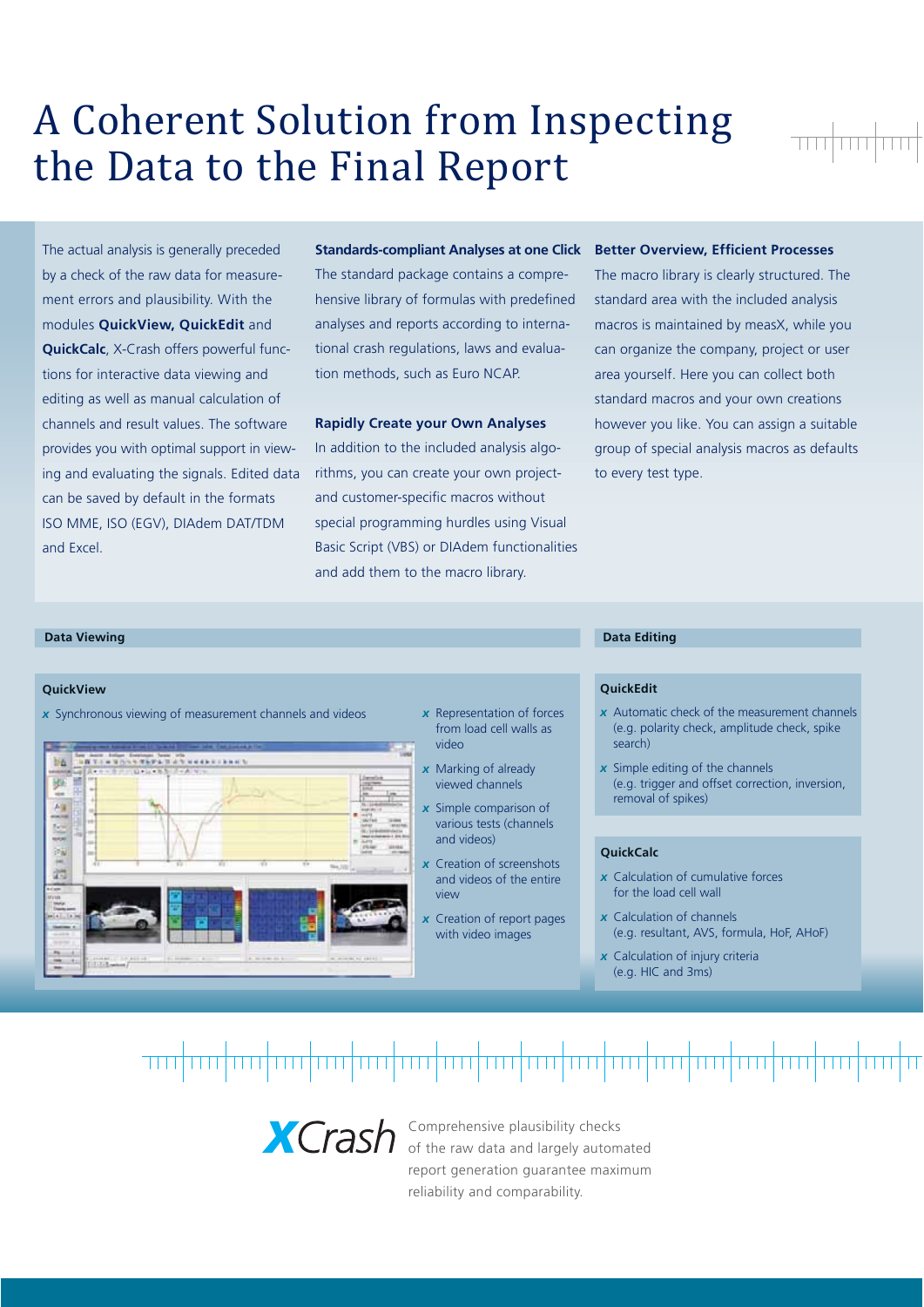## A Coherent Solution from Inspecting the Data to the Final Report

The actual analysis is generally preceded by a check of the raw data for measurement errors and plausibility. With the modules **QuickView, QuickEdit** and **QuickCalc**, X-Crash offers powerful functions for interactive data viewing and editing as well as manual calculation of channels and result values. The software provides you with optimal support in viewing and evaluating the signals. Edited data can be saved by default in the formats ISO MME, ISO (EGV), DIAdem DAT/TDM and Excel.

#### **Standards-compliant Analyses at one Click**

The standard package contains a comprehensive library of formulas with predefined analyses and reports according to international crash regulations, laws and evaluation methods, such as Euro NCAP.

#### **Rapidly Create your Own Analyses**

In addition to the included analysis algorithms, you can create your own projectand customer-specific macros without special programming hurdles using Visual Basic Script (VBS) or DIAdem functionalities and add them to the macro library.

#### **Better Overview, Efficient Processes**

The macro library is clearly structured. The standard area with the included analysis macros is maintained by measX, while you can organize the company, project or user area yourself. Here you can collect both standard macros and your own creations however you like. You can assign a suitable group of special analysis macros as defaults to every test type.

### **Data Viewing Data Editing**

#### **QuickView**

*x* Synchronous viewing of measurement channels and videos



- *x* Representation of forces from load cell walls as video
- *x* Marking of already viewed channels
- *x* Simple comparison of various tests (channels and videos)
- *x* Creation of screenshots and videos of the entire view
- *x* Creation of report pages with video images

#### **QuickEdit**

- *x* Automatic check of the measurement channels (e.g. polarity check, amplitude check, spike search)
- *x* Simple editing of the channels (e.g. trigger and offset correction, inversion, removal of spikes)

#### **QuickCalc**

- *x* Calculation of cumulative forces for the load cell wall
- *x* Calculation of channels (e.g. resultant, AVS, formula, HoF, AHoF)
- *x* Calculation of injury criteria (e.g. HIC and 3ms)

### 



Comprehensive plausibility checks of the raw data and largely automated report generation guarantee maximum reliability and comparability.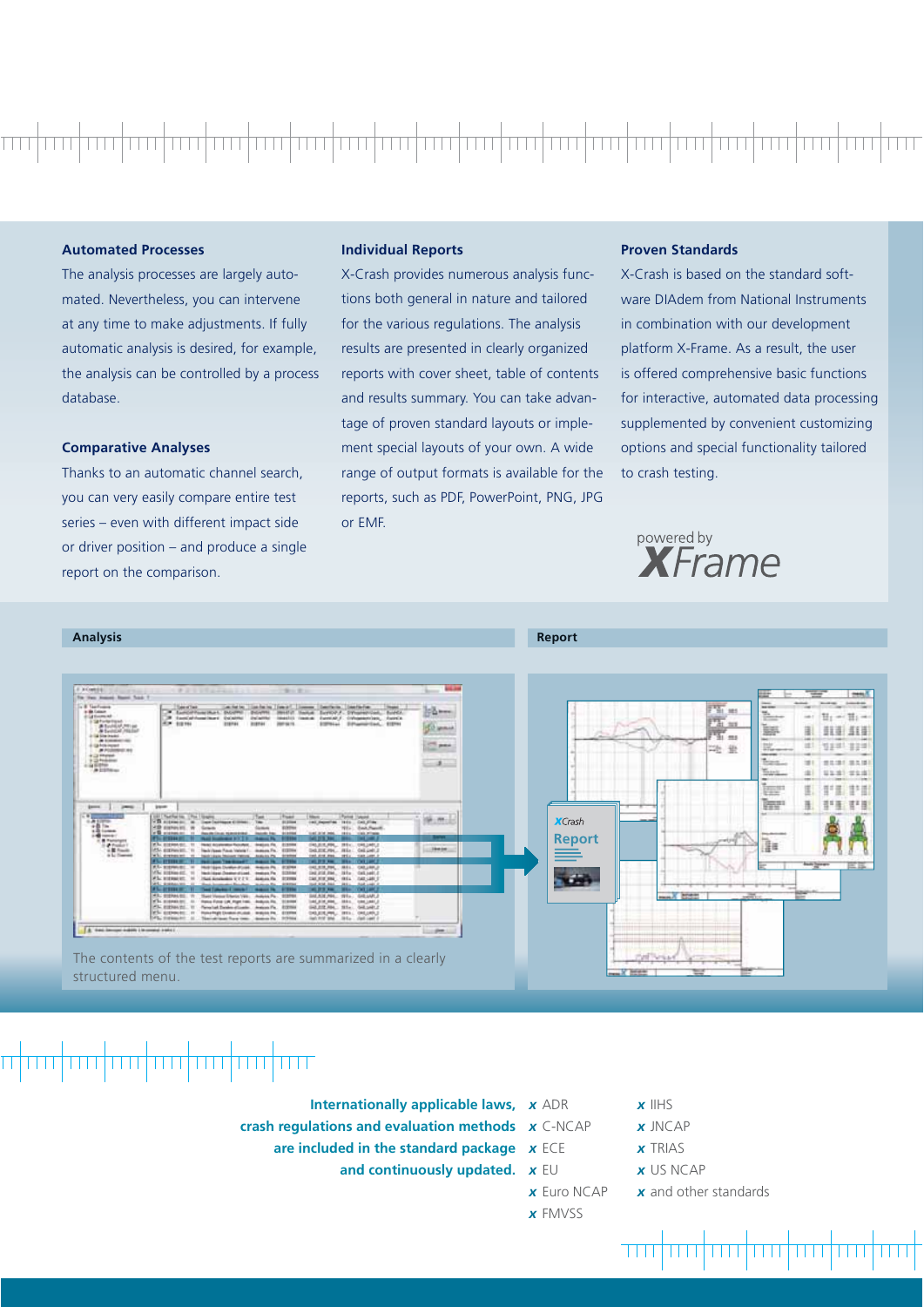### **Automated Processes**

The analysis processes are largely automated. Nevertheless, you can intervene at any time to make adjustments. If fully automatic analysis is desired, for example, the analysis can be controlled by a process database.

#### **Comparative Analyses**

Thanks to an automatic channel search, you can very easily compare entire test series – even with different impact side or driver position – and produce a single report on the comparison.

### **Individual Reports**

X-Crash provides numerous analysis functions both general in nature and tailored for the various regulations. The analysis results are presented in clearly organized reports with cover sheet, table of contents and results summary. You can take advantage of proven standard layouts or implement special layouts of your own. A wide range of output formats is available for the reports, such as PDF, PowerPoint, PNG, JPG or EMF.

#### **Proven Standards**

X-Crash is based on the standard software DIAdem from National Instruments in combination with our development platform X-Frame. As a result, the user is offered comprehensive basic functions for interactive, automated data processing supplemented by convenient customizing options and special functionality tailored to crash testing.





### 

- **Internationally applicable laws,**  $x$  **ADR**
- **crash regulations and evaluation methods**  *x* C-NCAP
	- **are included in the standard package** *x* ECE
		- **and continuously updated.** *x* EU
- -
	- - *x* Euro NCAP
		-
- *x* IIHS
- *x* JNCAP
- *x* TRIAS
- *x* US NCAP

 $\overline{\mathbf{H}}$ 

- *x* and other standards
- *x* FMVSS
- 

THEFT

n din bin bin b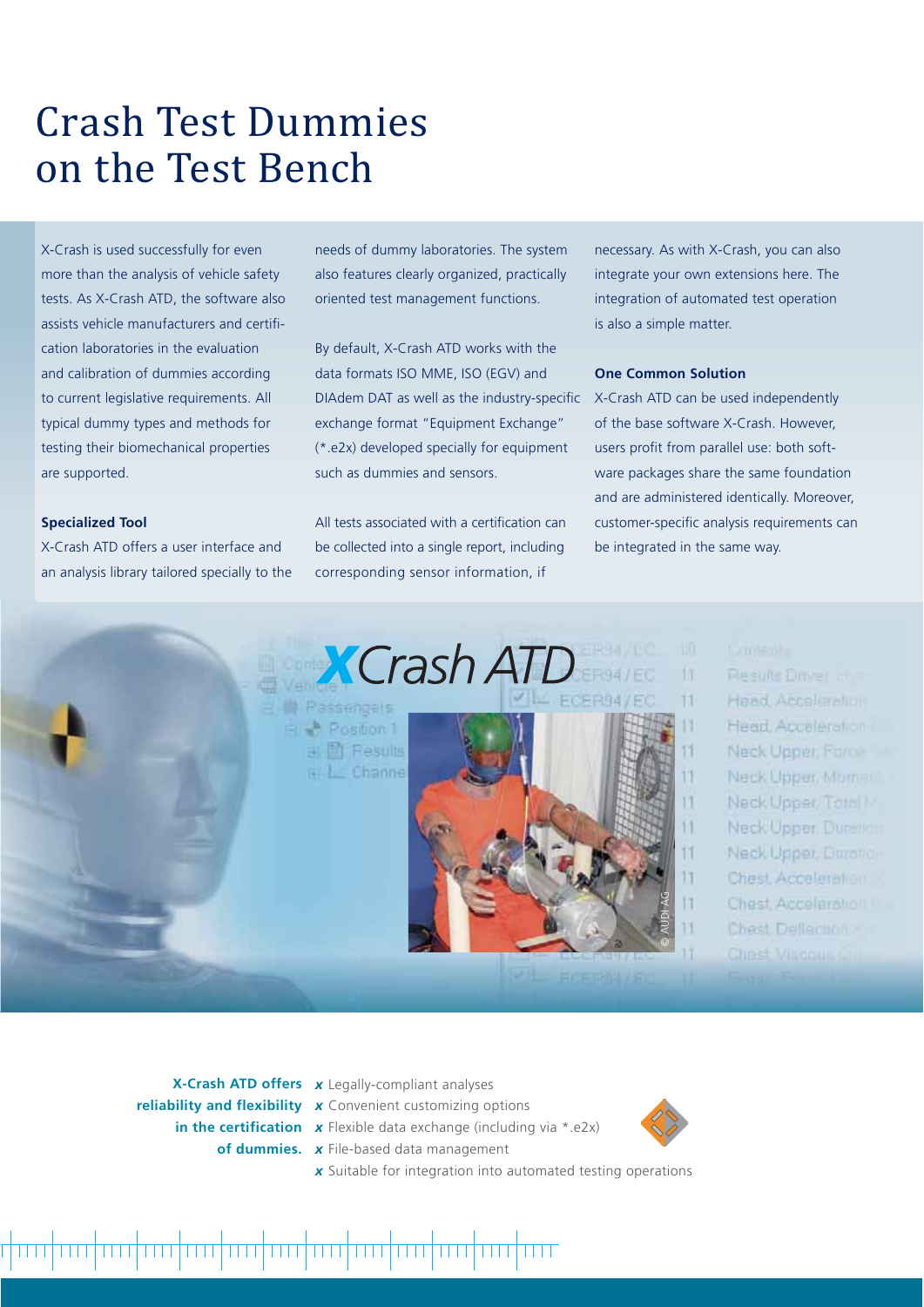### Crash Test Dummies on the Test Bench

X-Crash is used successfully for even more than the analysis of vehicle safety tests. As X-Crash ATD, the software also assists vehicle manufacturers and certifi cation laboratories in the evaluation and calibration of dummies according to current legislative requirements. All typical dummy types and methods for testing their biomechanical properties are supported.

#### **Specialized Tool**

X-Crash ATD offers a user interface and an analysis library tailored specially to the needs of dummy laboratories. The system also features clearly organized, practically oriented test management functions.

By default, X-Crash ATD works with the data formats ISO MME, ISO (EGV) and DIAdem DAT as well as the industry-specific exchange format "Equipment Exchange" (\*.e2x) developed specially for equipment such as dummies and sensors.

All tests associated with a certification can be collected into a single report, including corresponding sensor information, if

necessary. As with X-Crash, you can also integrate your own extensions here. The integration of automated test operation is also a simple matter.

#### **One Common Solution**

X-Crash ATD can be used independently of the base software X-Crash. However, users profit from parallel use: both software packages share the same foundation and are administered identically. Moreover, customer-specific analysis requirements can be integrated in the same way.

**X**Crash ATD **M** Passengers

Position 1 ii 固 Results  $Channe$ 



11

11

**Results Direct International** Head, Acceleration Head Acceleration Neck Upper, Force Neck Upper, Moment Neck Upper, Total N Neck Upper, Durenon Neck Upper Durotion Chest Acceleration Chest Acceleration Chest Deflection2011

**X-Crash ATD offers**  *x* Legally-compliant analyses **reliability and flexibility** *x* Convenient customizing options

- 
- **in the certification** x Flexible data exchange (including via \*.e2x)
	- **of dummies.** *x* File-based data management
		-

<u>TERRIT İN ERLEY TERRET EREDI EREDI EREDI ETRIZ TERRET EREDI EREDI EREDI EREDI EREDI EREDI EREDI EREDI EREDI E</u>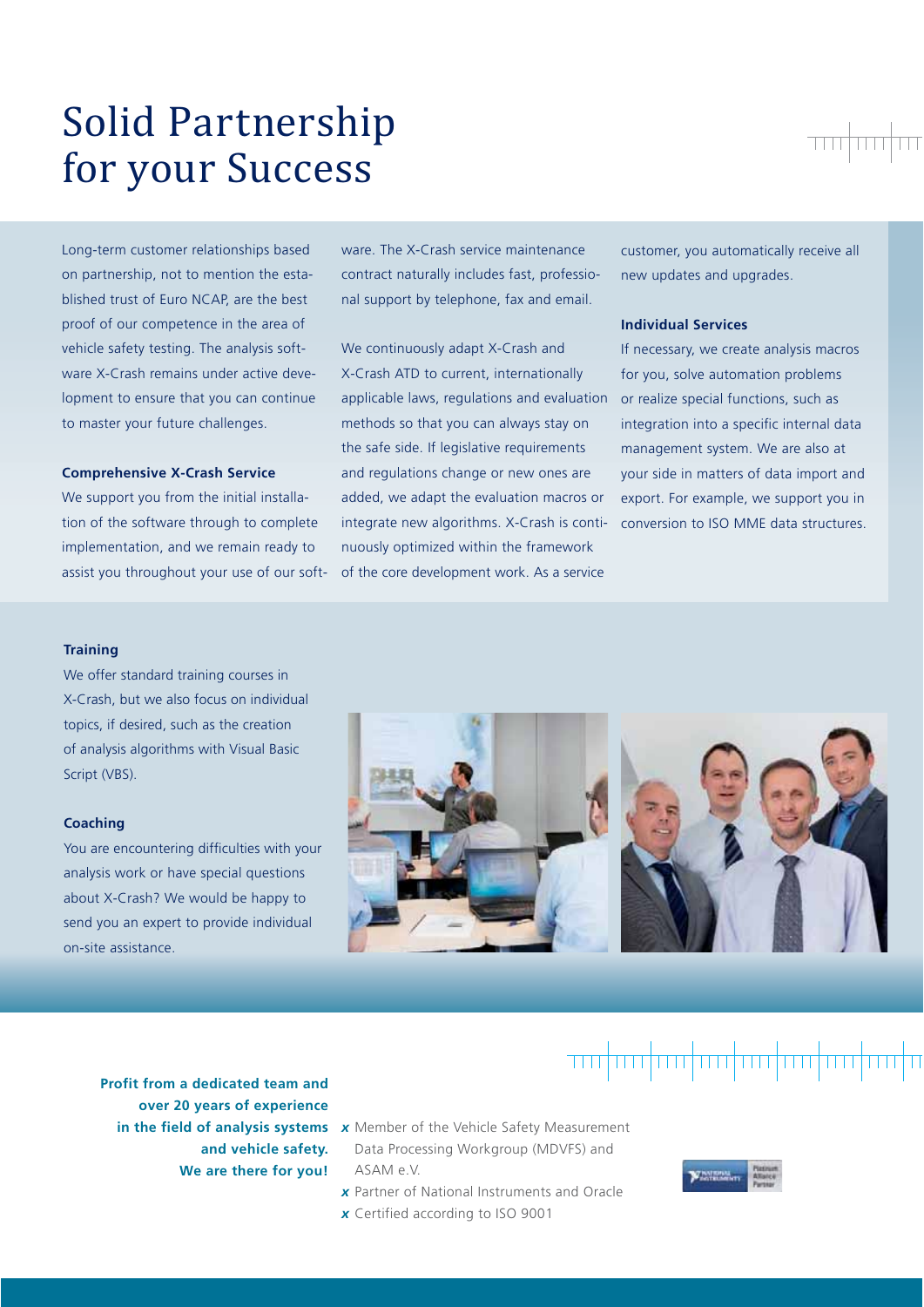### Solid Partnership for your Success

Long-term customer relationships based on partnership, not to mention the established trust of Euro NCAP, are the best proof of our competence in the area of vehicle safety testing. The analysis software X-Crash remains under active development to ensure that you can continue to master your future challenges.

#### **Comprehensive X-Crash Service**

We support you from the initial installation of the software through to complete implementation, and we remain ready to assist you throughout your use of our software. The X-Crash service maintenance contract naturally includes fast, professional support by telephone, fax and email.

We continuously adapt X-Crash and X-Crash ATD to current, internationally applicable laws, regulations and evaluation methods so that you can always stay on the safe side. If legislative requirements and regulations change or new ones are added, we adapt the evaluation macros or integrate new algorithms. X-Crash is continuously optimized within the framework of the core development work. As a service

customer, you automatically receive all new updates and upgrades.

#### **Individual Services**

If necessary, we create analysis macros for you, solve automation problems or realize special functions, such as integration into a specific internal data management system. We are also at your side in matters of data import and export. For example, we support you in conversion to ISO MME data structures.

#### **Training**

We offer standard training courses in X-Crash, but we also focus on individual topics, if desired, such as the creation of analysis algorithms with Visual Basic Script (VBS).

#### **Coaching**

You are encountering difficulties with your analysis work or have special questions about X-Crash? We would be happy to send you an expert to provide individual on-site assistance.



### <del>ากปุกก|mปุกปุกปุกปุกปุกปุกปุกป</del>ุก

- **Profit from a dedicated team and over 20 years of experience and vehicle safety. We are there for you!**
	- **in the field of analysis systems x** Member of the Vehicle Safety Measurement Data Processing Workgroup (MDVFS) and ASAM e.V.
		- *x* Partner of National Instruments and Oracle *x* Certified according to ISO 9001